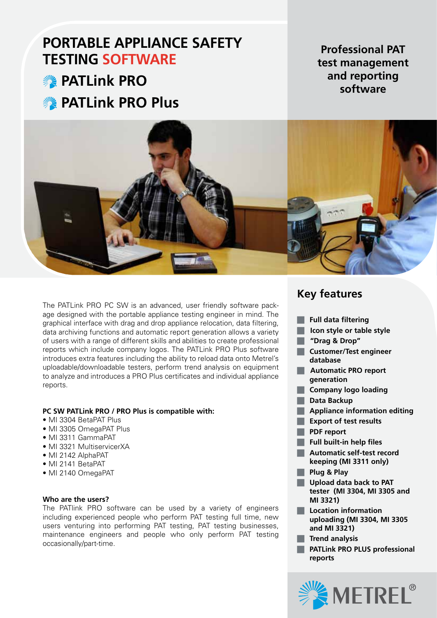# **PORTABLE APPLIANCE SAFETY TESTING SOFTWARE**

**<b>Solutions** PRO **PATLink PRO Plus** 

**Professional PAT test management and reporting software**



The PATLink PRO PC SW is an advanced, user friendly software package designed with the portable appliance testing engineer in mind. The graphical interface with drag and drop appliance relocation, data filtering, data archiving functions and automatic report generation allows a variety of users with a range of different skills and abilities to create professional reports which include company logos. The PATLink PRO Plus software introduces extra features including the ability to reload data onto Metrel's uploadable/downloadable testers, perform trend analysis on equipment to analyze and introduces a PRO Plus certificates and individual appliance reports.

### **PC SW PATLink PRO / PRO Plus is compatible with:**

- MI 3304 BetaPAT Plus
- MI 3305 OmegaPAT Plus
- • MI 3311 GammaPAT
- MI 3321 MultiservicerXA
- MI 2142 AlphaPAT
- MI 2141 BetaPAT
- MI 2140 OmegaPAT

### **Who are the users?**

The PATlink PRO software can be used by a variety of engineers including experienced people who perform PAT testing full time, new users venturing into performing PAT testing, PAT testing businesses, maintenance engineers and people who only perform PAT testing occasionally/part-time.

## **Key features**

- **T** Full data filtering
- **Icon style or table style**
- J **"Drag & Drop"**
- **T** Customer/Test engineer **database**
- **Automatic PRO report generation**
- **Company logo loading**
- **N** Data Backup
- **Appliance information editing**
- **Export of test results**
- **N** PDF report
- **T** Full built-in help files
- **Automatic self-test record keeping (MI 3311 only)**
- **No. 2 Plug & Play**
- **Upload data back to PAT tester (MI 3304, MI 3305 and MI 3321)**
- $\blacksquare$  Location information **uploading (MI 3304, MI 3305 and MI 3321)**
- **Trend analysis**
- **PATLink PRO PLUS professional reports**

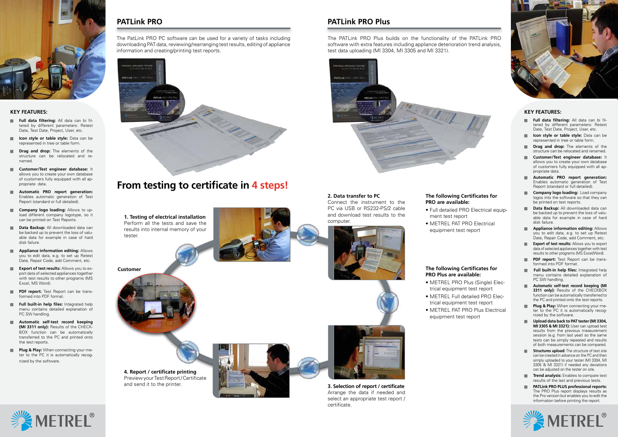## **PATLink PRO PATLink PRO Plus**



### **KEY FEATURES:**

- **Full data filtering:** All data can bi filtered by different parameters: Retest Date, Test Date, Project, User, etc.
- **I Icon style or table style:** Data can be represented in tree or table form.
- **Drag and drop:** The elements of the structure can be relocated and renamed.
- **Customer/Test engineer database:** It allows you to create your own database of customers fully equipped with all appropriate data.
- **Automatic PRO report generation:** Enables automatic generation of Test Report (standard or full detailed).
- **Company logo loading:** Allows to upload different company logotype, so it can be printed on Test Reports.
- **Data Backup:** All downloaded data can be backed up to prevent the loss of valuable data for example in case of hard disk failure.
- **Appliance information editing: Allows** you to edit data, e.g. to set up Retest Date, Repair Code, add Comment, etc.
- **Export of test results:** Allows you to export data of selected appliances together with test results to other programs (MS Excel, MS Word).
- **PDF report:** Test Report can be transformed into PDF format.
- **Full built-in help files:** Integrated help menu contains detailed explanation of PC SW handling.
- **Automatic self-test record keeping (MI 3311 only):** Results of the CHECK-BOX function can be automatically transferred to the PC and printed onto the test reports.
- **Plug & Play:** When connecting your meter to the PC it is automatically recognized by the software.

The PatLink PRO PC software can be used for a variety of tasks including downloading PAT data, reviewing/rearranging test results, editing of appliance information and creating/printing test reports.



The PATLink PRO Plus builds on the functionality of the PATLink PRO software with extra features including appliance deterioration trend analysis, test data uploading (MI 3304, MI 3305 and MI 3321).



# **From testing to certificate in 4 steps!**

### **KEY FEATURES:**

- Full data filtering: All data can bi filtered by different parameters: Retest Date, Test Date, Project, User, etc.
- **I Icon style or table style:** Data can be represented in tree or table form.
- **Drag and drop:** The elements of the structure can be relocated and renamed.
- **Customer/Test engineer database:** It allows you to create your own database of customers fully equipped with all appropriate data.
- **Automatic PRO report generation:** Enables automatic generation of Test Report (standard or full detailed).
- **Company logo loading:** Load company logos into the software so that they can be printed on test reports.
- **Data Backup:** All downloaded data can be backed up to prevent the loss of valuable data for example in case of hard disk failure.
- **Appliance information editing: Allows** you to edit data, e.g. to set up Retest Date, Repair Code, add Comment, etc.
- **Export of test results:** Allows you to export data of selected appliances together with test results to other programs (MS Excel/Word).
- **PDF report:** Test Report can be transformed into PDF format.
- **Full built-in help files:** Integrated help menu contains detailed explanation of PC SW handling.
- **Automatic self-test record keeping (MI 3311 only):** Results of the CHECKBOX function can be automatically transferred to the PC and printed onto the test reports.
- **Plug & Play:** When connecting your meter to the PC it is automatically recognized by the software.
- J **Upload data back to PAT tester (MI 3304, MI 3305 & MI 3321):** User can upload test results from the previous measurement session (e.g. from last year) so the same tests can be simply repeated and results of both measurements can be compared.
- **Structures upload:** The structure of test site can be created in advance on the PC and then simply uploaded to your tester (MI 3304, MI 3305 & MI 3321) if needed any deviations can be adjusted on the tester on site.
- **Trend analysis:** Enables to compare test results of the last and previous tests.
- **No. 3** PATLink PRO PLUS professional reports: The PRO Plus report displays results as the Pro version but enables you to edit the information before printing the report.



- METREL PRO Plus (Single) Electrical equipment test report
	- trical equipment test report
- METREL PAT PRO Plus Electrical equipment test report





• Full detailed PRO Electrical equip-

- METREL Full detailed PRO Elec-
	-
	-

### **The following Certificates for PRO are available:**

- ment test report
	- • METREL PAT PRO Electrical equipment test report

### **The following Certificates for PRO Plus are available:**

**1. Testing of electrical installation** Perform all the tests and save the results into internal memory of your tester.



### **2. Data transfer to PC**

Connect the instrument to the PC via USB or RS232-PS/2 cable and download test results to the computer.



**3. Selection of report / certificate** Arrange the data if needed and select an appropriate test report / certificate.

**4. Report / certificate printing** Preview your Test Report / Certificate and send it to the printer.